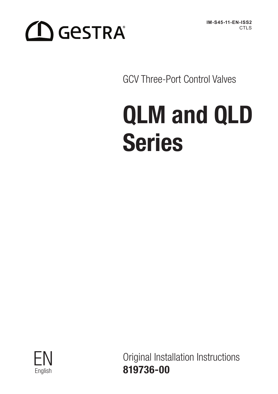# **CO** GeSTRA®

**IM-S45-11-EN-ISS2** CTL<sub>S</sub>

GCV Three-Port Control Valves

# QLM and QLD Series



Original Installation Instructions English 819736-00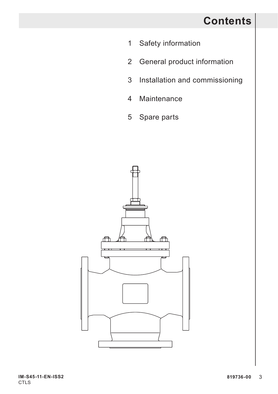# **Contents**

- 1 Safety information
- 2 General product information
- 3 Installation and commissioning
- 4 Maintenance
- 5 Spare parts

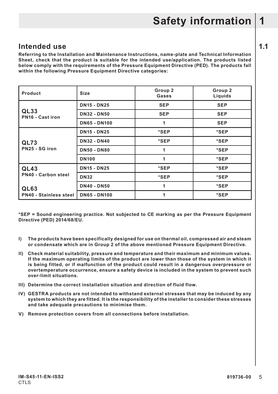# **Intended use 1.1**

**Referring to the Installation and Maintenance Instructions, name-plate and Technical Information Sheet, check that the product is suitable for the intended use/application. The products listed below comply with the requirements of the Pressure Equipment Directive (PED). The products fall within the following Pressure Equipment Directive categories:**

| Product                       | Size                | Group 2<br>Gases | Group 2<br>Liquids |
|-------------------------------|---------------------|------------------|--------------------|
|                               | <b>DN15 - DN25</b>  | <b>SEP</b>       | <b>SEP</b>         |
| QL33<br>PN16 - Cast iron      | <b>DN32 - DN50</b>  | <b>SEP</b>       | <b>SEP</b>         |
|                               | <b>DN65 - DN100</b> | 1                | <b>SEP</b>         |
|                               | <b>DN15 - DN25</b>  | *SEP             | *SEP               |
| QL73                          | <b>DN32 - DN40</b>  | *SEP             | *SEP               |
| PN25 - SG iron                | <b>DN50 - DN80</b>  | 1                | *SEP               |
|                               | <b>DN100</b>        | 1                | *SEP               |
| QL43                          | <b>DN15 - DN25</b>  | *SEP             | *SEP               |
| PN40 - Carbon steel           | <b>DN32</b>         | *SEP             | *SEP               |
| QL63                          | <b>DN40 - DN50</b>  | 1                | *SEP               |
| <b>PN40 - Stainless steel</b> | <b>DN65 - DN100</b> | 1                | *SEP               |

**\*SEP = Sound engineering practice. Not subjected to CE marking as per the Pressure Equipment Directive (PED) 2014/68/EU.**

- **I) The products have been specifically designed for use on thermal oil, compressed air and steam or condensate which are in Group 2 of the above mentioned Pressure Equipment Directive.**
- **II) Check material suitability, pressure and temperature and their maximum and minimum values. If the maximum operating limits of the product are lower than those of the system in which it is being fitted, or if malfunction of the product could result in a dangerous overpressure or overtemperature occurrence, ensure a safety device is included in the system to prevent such over-limit situations.**
- **III) Determine the correct installation situation and direction of fluid flow.**
- **IV) GESTRA products are not intended to withstand external stresses that may be induced by any system to which they are fitted. It is the responsibility of the installer to consider these stresses and take adequate precautions to minimise them.**
- **V) Remove protection covers from all connections before installation.**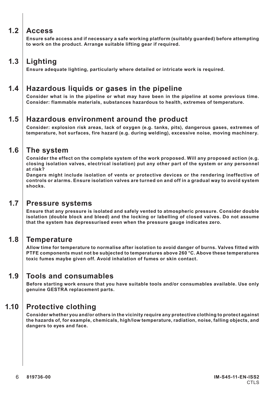### **1.2 Access**

**Ensure safe access and if necessary a safe working platform (suitably guarded) before attempting to work on the product. Arrange suitable lifting gear if required.**

# **1.3 Lighting**

**Ensure adequate lighting, particularly where detailed or intricate work is required.**

## **1.4 Hazardous liquids or gases in the pipeline**

**Consider what is in the pipeline or what may have been in the pipeline at some previous time. Consider: flammable materials, substances hazardous to health, extremes of temperature.**

### **1.5 Hazardous environment around the product**

**Consider: explosion risk areas, lack of oxygen (e.g. tanks, pits), dangerous gases, extremes of temperature, hot surfaces, fire hazard (e.g. during welding), excessive noise, moving machinery.**

#### **1.6 The system**

**Consider the effect on the complete system of the work proposed. Will any proposed action (e.g. closing isolation valves, electrical isolation) put any other part of the system or any personnel at risk?** 

**Dangers might include isolation of vents or protective devices or the rendering ineffective of controls or alarms. Ensure isolation valves are turned on and off in a gradual way to avoid system shocks.**

#### **1.7 Pressure systems**

**Ensure that any pressure is isolated and safely vented to atmospheric pressure. Consider double isolation (double block and bleed) and the locking or labelling of closed valves. Do not assume that the system has depressurised even when the pressure gauge indicates zero.**

#### **1.8 Temperature**

**Allow time for temperature to normalise after isolation to avoid danger of burns. Valves fitted with PTFE components must not be subjected to temperatures above 260 °C. Above these temperatures toxic fumes maybe given off. Avoid inhalation of fumes or skin contact.**

#### **1.9 Tools and consumables**

**Before starting work ensure that you have suitable tools and/or consumables available. Use only genuine GESTRA replacement parts.**

## **1.10 Protective clothing**

**Consider whether you and/or others in the vicinity require any protective clothing to protect against the hazards of, for example, chemicals, high/low temperature, radiation, noise, falling objects, and dangers to eyes and face.**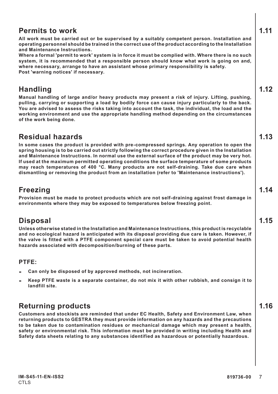### **Permits to work 1.11**

**All work must be carried out or be supervised by a suitably competent person. Installation and operating personnel should be trained in the correct use of the product according to the Installation and Maintenance Instructions.**

**Where a formal 'permit to work' system is in force it must be complied with. Where there is no such system, it is recommended that a responsible person should know what work is going on and, where necessary, arrange to have an assistant whose primary responsibility is safety. Post 'warning notices' if necessary.**

# **Handling 1.12**

**Manual handling of large and/or heavy products may present a risk of injury. Lifting, pushing, pulling, carrying or supporting a load by bodily force can cause injury particularly to the back. You are advised to assess the risks taking into account the task, the individual, the load and the working environment and use the appropriate handling method depending on the circumstances of the work being done.**

# **Residual hazards 1.13**

**In some cases the product is provided with pre-compressed springs. Any operation to open the spring housing is to be carried out strictly following the correct procedure given in the Installation and Maintenance Instructions. In normal use the external surface of the product may be very hot. If used at the maximum permitted operating conditions the surface temperature of some products may reach temperatures of 400 °C. Many products are not self-draining. Take due care when dismantling or removing the product from an installation (refer to 'Maintenance instructions').**

## **Freezing 1.14**

**Provision must be made to protect products which are not self-draining against frost damage in environments where they may be exposed to temperatures below freezing point.**

# **Disposal 1.15**

**Unless otherwise stated in the Installation and Maintenance Instructions, this product is recyclable and no ecological hazard is anticipated with its disposal providing due care is taken. However, if the valve is fitted with a PTFE component special care must be taken to avoid potential health hazards associated with decomposition/burning of these parts.**

#### **PTFE:**

- **- Can only be disposed of by approved methods, not incineration.**
- **- Keep PTFE waste is a separate container, do not mix it with other rubbish, and consign it to landfill site.**

# **Returning products 1.16**

**Customers and stockists are reminded that under EC Health, Safety and Environment Law, when returning products to GESTRA they must provide information on any hazards and the precautions to be taken due to contamination residues or mechanical damage which may present a health, safety or environmental risk. This information must be provided in writing including Health and Safety data sheets relating to any substances identified as hazardous or potentially hazardous.**

**IM-S45-11-EN-ISS2 CTLS** 

- 
-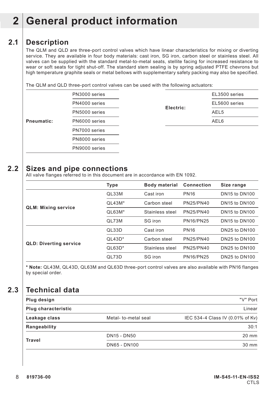## **2.1 Description**

The QLM and QLD are three-port control valves which have linear characteristics for mixing or diverting service. They are available in four body materials: cast iron, SG iron, carbon steel or stainless steel. All valves can be supplied with the standard metal-to-metal seats, stellite facing for increased resistance to wear or soft seats for tight shut-off. The standard stem sealing is by spring adjusted PTFE chevrons but high temperature graphite seals or metal bellows with supplementary safety packing may also be specified.

The QLM and QLD three-port control valves can be used with the following actuators:

|            | PN3000 series |           | EL3500 series    |  |  |
|------------|---------------|-----------|------------------|--|--|
| Pneumatic: | PN4000 series |           | EL5600 series    |  |  |
|            | PN5000 series | Electric: | AEL <sub>5</sub> |  |  |
|            | PN6000 series |           | AEL6             |  |  |
|            | PN7000 series |           |                  |  |  |
|            | PN8000 series |           |                  |  |  |
|            | PN9000 series |           |                  |  |  |

#### **2.2 Sizes and pipe connections**

All valve flanges referred to in this document are in accordance with EN 1092.

|                               | Type     | <b>Body material</b> | Connection       | Size range           |
|-------------------------------|----------|----------------------|------------------|----------------------|
|                               | QL33M    | Cast iron            | <b>PN16</b>      | <b>DN15 to DN100</b> |
|                               | $QL43M*$ | Carbon steel         | PN25/PN40        | <b>DN15 to DN100</b> |
| <b>QLM: Mixing service</b>    | $QL63M*$ | Stainless steel      | PN25/PN40        | <b>DN15 to DN100</b> |
|                               | QL73M    | SG iron              | <b>PN16/PN25</b> | <b>DN15 to DN100</b> |
|                               | QL33D    | Cast iron            | <b>PN16</b>      | DN25 to DN100        |
|                               | $QL43D*$ | Carbon steel         | PN25/PN40        | DN25 to DN100        |
| <b>QLD: Diverting service</b> | $QL63D*$ | Stainless steel      | PN25/PN40        | DN25 to DN100        |
|                               | QL73D    | SG iron              | <b>PN16/PN25</b> | DN25 to DN100        |

**\* Note:** QL43M, QL43D, QL63M and QL63D three-port control valves are also available with PN16 flanges by special order.

## **2.3 Technical data**

| Plug design         |                     | "V" Port                         |
|---------------------|---------------------|----------------------------------|
| Plug characteristic |                     | Linear                           |
| Leakage class       | Metal-to-metal seal | IEC 534-4 Class IV (0.01% of Kv) |
| Rangeability        |                     | 30:1                             |
|                     | <b>DN15 - DN50</b>  | 20 mm                            |
| Travel              | DN65 - DN100        | $30 \text{ mm}$                  |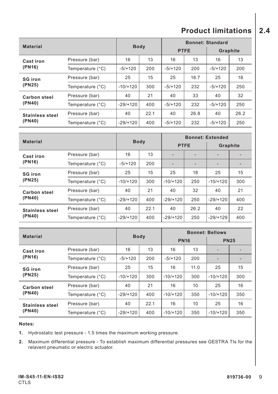# **Product limitations 2.4**

| <b>Material</b>                  |                  | <b>Body</b> |      | <b>Bonnet: Standard</b> |      |           |      |
|----------------------------------|------------------|-------------|------|-------------------------|------|-----------|------|
|                                  |                  |             |      | <b>PTFE</b>             |      | Graphite  |      |
| Cast iron                        | Pressure (bar)   | 16          | 13   | 16                      | 13   | 16        | 13   |
| (PN16)                           | Temperature (°C) | $-5/+120$   | 200  | $-5/+120$               | 200  | $-5/+120$ | 200  |
| <b>SG</b> iron                   | Pressure (bar)   | 25          | 15   | 25                      | 18.7 | 25        | 18   |
| (PN25)                           | Temperature (°C) | $-10/1120$  | 300  | $-5/+120$               | 232  | $-5/+120$ | 250  |
| <b>Carbon steel</b>              | Pressure (bar)   | 40          | 21   | 40                      | 33   | 40        | 32   |
| (PN40)                           | Temperature (°C) | $-29/+120$  | 400  | $-5/+120$               | 232  | $-5/+120$ | 250  |
| <b>Stainless steel</b><br>(PN40) | Pressure (bar)   | 40          | 22.1 | 40                      | 26.8 | 40        | 26.2 |
|                                  | Temperature (°C) | $-29/+120$  | 400  | $-5/+120$               | 232  | $-5/+120$ | 250  |

| <b>Material</b>               |                  | <b>Body</b> |      | <b>Bonnet: Extended</b> |                          |            |     |
|-------------------------------|------------------|-------------|------|-------------------------|--------------------------|------------|-----|
|                               |                  |             |      | <b>PTFE</b>             |                          | Graphite   |     |
| Cast iron                     | Pressure (bar)   | 16          | 13   | -                       | $\overline{\phantom{0}}$ |            |     |
| (PN16)                        | Temperature (°C) | $-5/+120$   | 200  | -                       | $\overline{\phantom{0}}$ |            |     |
| <b>SG</b> iron<br>(PN25)      | Pressure (bar)   | 25          | 15   | 25                      | 18                       | 25         | 15  |
|                               | Temperature (°C) | $-10/1120$  | 300  | $-10/1120$              | 250                      | $-10/+120$ | 300 |
| <b>Carbon steel</b><br>(PN40) | Pressure (bar)   | 40          | 21   | 40                      | 32                       | 40         | 21  |
|                               | Temperature (°C) | $-29/+120$  | 400  | $-29/1120$              | 250                      | $-29/+120$ | 400 |
| <b>Stainless steel</b>        | Pressure (bar)   | 40          | 22.1 | 40                      | 26.2                     | 40         | 22  |
| (PN40)                        | Temperature (°C) | $-29/+120$  | 400  | $-29/+120$              | 250                      | $-29/+129$ | 400 |

| <b>Material</b>                  |                  |             |      | <b>Bonnet: Bellows</b> |      |             |     |
|----------------------------------|------------------|-------------|------|------------------------|------|-------------|-----|
|                                  |                  | <b>Body</b> |      | <b>PN16</b>            |      | <b>PN25</b> |     |
| Cast iron                        | Pressure (bar)   | 16          | 13   | 16                     | 13   |             |     |
| (PN16)                           | Temperature (°C) | $-5/+120$   | 200  | $-5/+120$              | 200  |             |     |
| <b>SG</b> iron<br>(PN25)         | Pressure (bar)   | 25          | 15   | 16                     | 11.0 | 25          | 15  |
|                                  | Temperature (°C) | $-10/1120$  | 300  | $-10/1120$             | 300  | $-10/1120$  | 300 |
| <b>Carbon steel</b><br>(PN40)    | Pressure (bar)   | 40          | 21   | 16                     | 10   | 25          | 16  |
|                                  | Temperature (°C) | $-29/+120$  | 400  | $-10/+120$             | 350  | $-10/1120$  | 350 |
| <b>Stainless steel</b><br>(PN40) | Pressure (bar)   | 40          | 22.1 | 16                     | 10   | 25          | 16  |
|                                  | Temperature (°C) | $-29/+120$  | 400  | $-10/+120$             | 350  | $-10/1120$  | 350 |

#### **Notes:**

**1.** Hydrostatic test pressure - 1.5 times the maximum working pressure.

**2.** Maximum differential pressure - To establish maximum differential pressures see GESTRA TIs for the relavent pneumatic or electric actuator.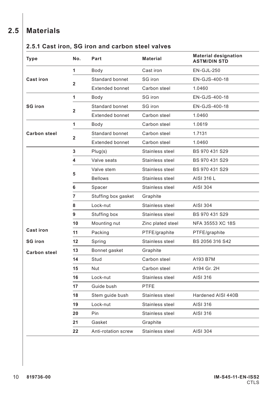# **2.5 Materials**

#### **2.5.1 Cast iron, SG iron and carbon steel valves**

| Type                | No.            | Part                   | <b>Material</b>   | <b>Material designation</b><br><b>ASTM/DIN STD</b> |
|---------------------|----------------|------------------------|-------------------|----------------------------------------------------|
|                     | 1              | Body                   | Cast iron         | <b>EN-GJL-250</b>                                  |
| <b>Cast iron</b>    | $\overline{2}$ | Standard bonnet        | SG iron           | EN-GJS-400-18                                      |
|                     |                | <b>Extended bonnet</b> | Carbon steel      | 1.0460                                             |
|                     | 1              | Body                   | SG iron           | EN-GJS-400-18                                      |
| <b>SG</b> iron      |                | Standard bonnet        | SG iron           | EN-GJS-400-18                                      |
|                     | $\overline{2}$ | <b>Extended bonnet</b> | Carbon steel      | 1.0460                                             |
|                     | 1              | Body                   | Carbon steel      | 1.0619                                             |
| <b>Carbon steel</b> |                | Standard bonnet        | Carbon steel      | 1.7131                                             |
|                     | $\overline{2}$ | <b>Extended bonnet</b> | Carbon steel      | 1.0460                                             |
|                     | 3              | Plug(s)                | Stainless steel   | BS 970 431 S29                                     |
|                     | 4              | Valve seats            | Stainless steel   | BS 970 431 S29                                     |
|                     |                | Valve stem             | Stainless steel   | BS 970 431 S29                                     |
|                     | 5              | <b>Bellows</b>         | Stainless steel   | AISI 316 L                                         |
|                     | 6              | Spacer                 | Stainless steel   | AISI 304                                           |
|                     | $\overline{7}$ | Stuffing box gasket    | Graphite          |                                                    |
|                     | 8              | Lock-nut               | Stainless steel   | AISI 304                                           |
|                     | 9              | Stuffing box           | Stainless steel   | BS 970 431 S29                                     |
|                     | 10             | Mounting nut           | Zinc plated steel | NFA 35553 XC 18S                                   |
| <b>Cast iron</b>    | 11             | Packing                | PTFE/graphite     | PTFE/graphite                                      |
| <b>SG</b> iron      | 12             | Spring                 | Stainless steel   | BS 2056 316 S42                                    |
| <b>Carbon steel</b> | 13             | Bonnet gasket          | Graphite          |                                                    |
|                     | 14             | Stud                   | Carbon steel      | A193 B7M                                           |
|                     | 15             | Nut                    | Carbon steel      | A194 Gr. 2H                                        |
|                     | 16             | Lock-nut               | Stainless steel   | AISI 316                                           |
|                     | 17             | Guide bush             | PTFE              |                                                    |
|                     | 18             | Stem guide bush        | Stainless steel   | Hardened AISI 440B                                 |
|                     | 19             | Lock-nut               | Stainless steel   | AISI 316                                           |
|                     | 20             | Pin                    | Stainless steel   | AISI 316                                           |
|                     | 21             | Gasket                 | Graphite          |                                                    |
|                     | 22             | Anti-rotation screw    | Stainless steel   | AISI 304                                           |
|                     |                |                        |                   |                                                    |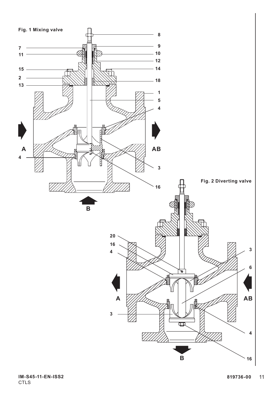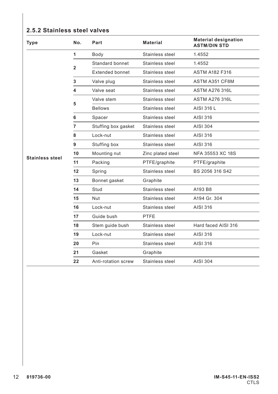#### **2.5.2 Stainless steel valves**

| <b>Type</b>            | No.            | Part                   | <b>Material</b>   | <b>Material designation</b><br><b>ASTM/DIN STD</b> |
|------------------------|----------------|------------------------|-------------------|----------------------------------------------------|
|                        | 1              | Body                   | Stainless steel   | 1.4552                                             |
|                        | $\overline{2}$ | Standard bonnet        | Stainless steel   | 1.4552                                             |
|                        |                | <b>Extended bonnet</b> | Stainless steel   | <b>ASTM A182 F316</b>                              |
|                        | 3              | Valve plug             | Stainless steel   | ASTM A351 CF8M                                     |
|                        | 4              | Valve seat             | Stainless steel   | <b>ASTM A276 316L</b>                              |
|                        | 5              | Valve stem             | Stainless steel   | <b>ASTM A276 316L</b>                              |
|                        |                | <b>Bellows</b>         | Stainless steel   | AISI 316 L                                         |
|                        | 6              | Spacer                 | Stainless steel   | AISI 316                                           |
|                        | 7              | Stuffing box gasket    | Stainless steel   | AISI 304                                           |
|                        | 8              | Lock-nut               | Stainless steel   | AISI 316                                           |
|                        | 9              | Stuffing box           | Stainless steel   | AISI 316                                           |
| <b>Stainless steel</b> | 10             | Mounting nut           | Zinc plated steel | NFA 35553 XC 18S                                   |
|                        | 11             | Packing                | PTFE/graphite     | PTFE/graphite                                      |
|                        | 12             | Spring                 | Stainless steel   | BS 2056 316 S42                                    |
|                        | 13             | Bonnet gasket          | Graphite          |                                                    |
|                        | 14             | Stud                   | Stainless steel   | A193 B8                                            |
|                        | 15             | Nut                    | Stainless steel   | A194 Gr. 304                                       |
|                        | 16             | Lock-nut               | Stainless steel   | AISI 316                                           |
|                        | 17             | Guide bush             | PTFE              |                                                    |
|                        | 18             | Stem guide bush        | Stainless steel   | Hard faced AISI 316                                |
|                        | 19             | Lock-nut               | Stainless steel   | AISI 316                                           |
|                        | 20             | <b>Pin</b>             | Stainless steel   | AISI 316                                           |
|                        | 21             | Gasket                 | Graphite          |                                                    |
|                        | 22             | Anti-rotation screw    | Stainless steel   | AISI 304                                           |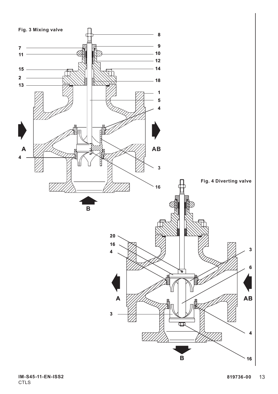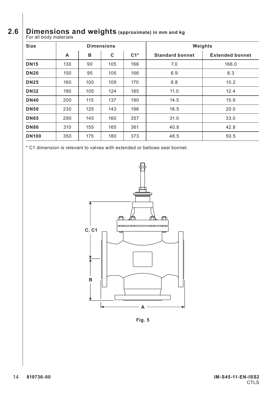# **2.6 Dimensions and weights (approximate) in mm and kg** For all body materials

| <b>Size</b>  | <b>Dimensions</b> |     |     | Weights |                        |                        |
|--------------|-------------------|-----|-----|---------|------------------------|------------------------|
|              | A                 | в   | c   | $C1*$   | <b>Standard bonnet</b> | <b>Extended bonnet</b> |
| <b>DN15</b>  | 130               | 90  | 105 | 166     | 7.0                    | 166.0                  |
| <b>DN20</b>  | 150               | 95  | 105 | 166     | 6.9                    | 8.3                    |
| <b>DN25</b>  | 160               | 100 | 109 | 170     | 8.8                    | 10.2                   |
| <b>DN32</b>  | 180               | 105 | 124 | 185     | 11.0                   | 12.4                   |
| <b>DN40</b>  | 200               | 115 | 137 | 190     | 14.5                   | 15.9                   |
| <b>DN50</b>  | 230               | 125 | 143 | 196     | 18.5                   | 20.0                   |
| <b>DN65</b>  | 290               | 145 | 160 | 357     | 31.0                   | 33.0                   |
| <b>DN80</b>  | 310               | 155 | 165 | 361     | 40.8                   | 42.8                   |
| <b>DN100</b> | 350               | 175 | 180 | 373     | 48.5                   | 50.5                   |

\* C1 dimension is relevant to valves with extended or bellows seal bonnet.



**Fig. 5**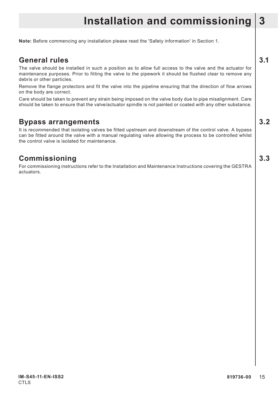# **Installation and commissioning 3**

**Note:** Before commencing any installation please read the 'Safety information' in Section 1.

#### **General rules 3.1**

The valve should be installed in such a position as to allow full access to the valve and the actuator for maintenance purposes. Prior to fitting the valve to the pipework it should be flushed clear to remove any debris or other particles.

Remove the flange protectors and fit the valve into the pipeline ensuring that the direction of flow arrows on the body are correct.

Care should be taken to prevent any strain being imposed on the valve body due to pipe misalignment. Care should be taken to ensure that the valve/actuator spindle is not painted or coated with any other substance.

#### **Bypass arrangements 3.2**

It is recommended that isolating valves be fitted upstream and downstream of the control valve. A bypass can be fitted around the valve with a manual regulating valve allowing the process to be controlled whilst the control valve is isolated for maintenance.

#### **Commissioning 3.3**

For commissioning instructions refer to the Installation and Maintenance Instructions covering the GESTRA actuators.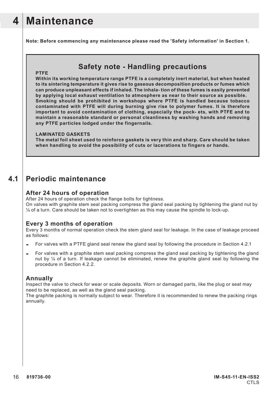# **4 Maintenance**

**Note: Before commencing any maintenance please read the 'Safety information' in Section 1.**

#### **Safety note - Handling precautions**

#### **PTFE**

**Within its working temperature range PTFE is a completely inert material, but when heated to its sintering temperature it gives rise to gaseous decomposition products or fumes which can produce unpleasant effects if inhaled. The inhala- tion of these fumes is easily prevented by applying local exhaust ventilation to atmosphere as near to their source as possible. Smoking should be prohibited in workshops where PTFE is handled because tobacco contaminated with PTFE will during burning give rise to polymer fumes. It is therefore important to avoid contamination of clothing, especially the pock- ets, with PTFE and to maintain a reasonable standard or personal cleanliness by washing hands and removing any PTFE particles lodged under the fingernails.**

#### **LAMINATED GASKETS**

**The metal foil sheet used to reinforce gaskets is very thin and sharp. Care should be taken when handling to avoid the possibility of cuts or lacerations to fingers or hands.**

#### **4.1 Periodic maintenance**

#### **After 24 hours of operation**

After 24 hours of operation check the flange bolts for tightness.

On valves with graphite stem seal packing compress the gland seal packing by tightening the gland nut by  $\frac{1}{4}$  of a turn. Care should be taken not to overtighten as this may cause the spindle to lock-up.

#### **Every 3 months of operation**

Every 3 months of normal operation check the stem gland seal for leakage. In the case of leakage proceed as follows:

- **-** For valves with a PTFE gland seal renew the gland seal by following the procedure in Section 4.2.1
- **-** For valves with a graphite stem seal packing compress the gland seal packing by tightening the gland nut by  $\frac{1}{4}$  of a turn. If leakage cannot be eliminated, renew the graphite gland seal by following the procedure in Section 4.2.2.

#### **Annually**

Inspect the valve to check for wear or scale deposits. Worn or damaged parts, like the plug or seat may need to be replaced, as well as the gland seal packing.

The graphite packing is normally subject to wear. Therefore it is recommended to renew the packing rings annually.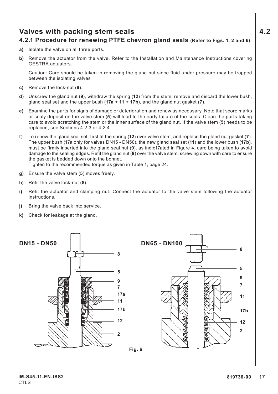## **Valves with packing stem seals 4.2**

#### **4.2.1 Procedure for renewing PTFE chevron gland seals (Refer to Figs. 1, 2 and 6)**

- **a)** Isolate the valve on all three ports.
- **b)** Remove the actuator from the valve. Refer to the Installation and Maintenance Instructions covering GESTRA actuators.

Caution: Care should be taken in removing the gland nut since fluid under pressure may be trapped between the isolating valves

- **c)** Remove the lock-nut (**8**).
- **d)** Unscrew the gland nut (**9**), withdraw the spring (**12**) from the stem; remove and discard the lower bush, gland seal set and the upper bush (**17a + 11 + 17b**), and the gland nut gasket (**7**).
- **e)** Examine the parts for signs of damage or deterioration and renew as necessary. Note that score marks or scaly deposit on the valve stem (**5**) will lead to the early failure of the seals. Clean the parts taking care to avoid scratching the stem or the inner surface of the gland nut. If the valve stem (**5**) needs to be replaced, see Sections 4.2.3 or 4.2.4.
- **f)** To renew the gland seal set, first fit the spring (**12**) over valve stem, and replace the gland nut gasket (**7**). The upper bush (17a only for valves DN15 - DN50), the new gland seal set (**11**) and the lower bush (**17b**), must be firmly inserted into the gland seal nut (**9**), as indic17ated in Figure 4, care being taken to avoid damage to the sealing edges. Refit the gland nut (**9**) over the valve stem, screwing down with care to ensure the gasket is bedded down onto the bonnet. Tighten to the recommended torque as given in Table 1, page 24.

**g)** Ensure the valve stem (**5**) moves freely.

- **h)** Refit the valve lock-nut (**8**).
- **i)** Refit the actuator and clamping nut. Connect the actuator to the valve stem following the actuator **instructions**
- **j)** Bring the valve back into service.
- **k)** Check for leakage at the gland.



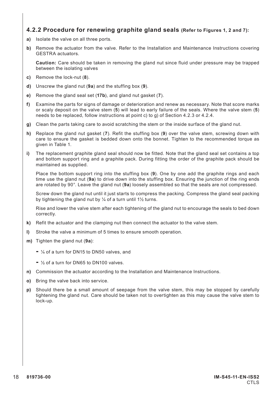#### **4.2.2 Procedure for renewing graphite gland seals (Refer to Figures 1, 2 and 7):**

- **a)** Isolate the valve on all three ports.
- **b)** Remove the actuator from the valve. Refer to the Installation and Maintenance Instructions covering GESTRA actuators.

**Caution:** Care should be taken in removing the gland nut since fluid under pressure may be trapped between the isolating valves

- **c)** Remove the lock-nut (**8**).
- **d)** Unscrew the gland nut (**9a**) and the stuffing box (**9**).
- **e)** Remove the gland seal set (**17b**), and gland nut gasket (**7**).
- **f)** Examine the parts for signs of damage or deterioration and renew as necessary. Note that score marks or scaly deposit on the valve stem (**5**) will lead to early failure of the seals. Where the valve stem (**5**) needs to be replaced, follow instructions at point c) to g) of Section 4.2.3 or 4.2.4.
- **g)** Clean the parts taking care to avoid scratching the stem or the inside surface of the gland nut.
- **h)** Replace the gland nut gasket (**7**). Refit the stuffing box (**9**) over the valve stem, screwing down with care to ensure the gasket is bedded down onto the bonnet. Tighten to the recommended torque as given in Table 1.
- **i)** The replacement graphite gland seal should now be fitted. Note that the gland seal set contains a top and bottom support ring and a graphite pack. During fitting the order of the graphite pack should be maintained as supplied.

Place the bottom support ring into the stuffing box (**9**). One by one add the graphite rings and each time use the gland nut (**9a**) to drive down into the stuffing box. Ensuring the junction of the ring ends are rotated by 90°. Leave the gland nut (**9a**) loosely assembled so that the seals are not compressed.

Screw down the gland nut until it just starts to compress the packing. Compress the gland seal packing by tightening the gland nut by  $\frac{1}{4}$  of a turn until 1½ turns.

Rise and lower the valve stem after each tightening of the gland nut to encourage the seals to bed down correctly.

- **k)** Refit the actuator and the clamping nut then connect the actuator to the valve stem.
- **l)** Stroke the valve a minimum of 5 times to ensure smooth operation.
- **m)** Tighten the gland nut (**9a**):
	- ¼ of a turn for DN15 to DN50 valves, and
	- ½ of a turn for DN65 to DN100 valves.
- **n)** Commission the actuator according to the Installation and Maintenance Instructions.
- **o)** Bring the valve back into service.
- **p)** Should there be a small amount of seepage from the valve stem, this may be stopped by carefully tightening the gland nut. Care should be taken not to overtighten as this may cause the valve stem to lock-up.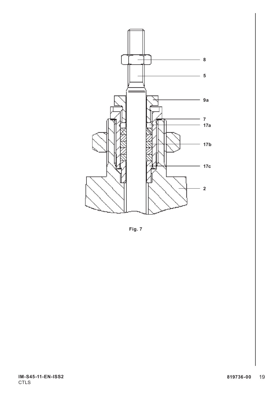

**Fig. 7**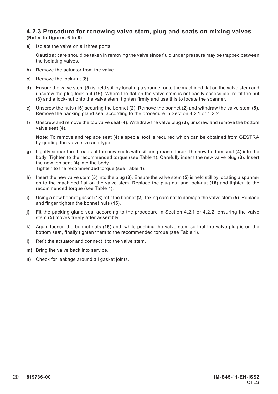#### **4.2.3 Procedure for renewing valve stem, plug and seats on mixing valves (Refer to figures 6 to 8)**

**a)** Isolate the valve on all three ports.

**Caution:** care should be taken in removing the valve since fluid under pressure may be trapped between the isolating valves.

- **b)** Remove the actuator from the valve.
- **c)** Remove the lock-nut (**8**).
- **d)** Ensure the valve stem (**5**) is held still by locating a spanner onto the machined flat on the valve stem and unscrew the plug lock-nut (**16**). Where the flat on the valve stem is not easily accessible, re-fit the nut (8) and a lock-nut onto the valve stem, tighten firmly and use this to locate the spanner.
- **e)** Unscrew the nuts (**15**) securing the bonnet (**2**). Remove the bonnet (**2**) and withdraw the valve stem (**5**). Remove the packing gland seal according to the procedure in Section 4.2.1 or 4.2.2.
- **f)** Unscrew and remove the top valve seat (**4**). Withdraw the valve plug (**3**), unscrew and remove the bottom valve seat (**4**).

**Note:** To remove and replace seat (**4**) a special tool is required which can be obtained from GESTRA by quoting the valve size and type.

**g)** Lightly smear the threads of the new seats with silicon grease. Insert the new bottom seat (**4**) into the body. Tighten to the recommended torque (see Table 1). Carefully inser t the new valve plug (**3**). Insert the new top seat (**4**) into the body.

Tighten to the recommended torque (see Table 1).

- **h)** Insert the new valve stem (**5**) into the plug (**3**). Ensure the valve stem (**5**) is held still by locating a spanner on to the machined flat on the valve stem. Replace the plug nut and lock-nut (**16**) and tighten to the recommended torque (see Table 1).
- **i)** Using a new bonnet gasket (**13**) refit the bonnet (**2**), taking care not to damage the valve stem (**5**). Replace and finger tighten the bonnet nuts (**15**).
- **j)** Fit the packing gland seal according to the procedure in Section 4.2.1 or 4.2.2, ensuring the valve stem (**5**) moves freely after assembly.
- **k)** Again loosen the bonnet nuts (**15**) and, while pushing the valve stem so that the valve plug is on the bottom seat, finally tighten them to the recommended torque (see Table 1).
- **l)** Refit the actuator and connect it to the valve stem.
- **m)** Bring the valve back into service.
- **n)** Check for leakage around all gasket joints.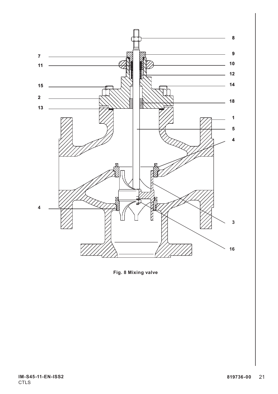

**Fig. 8 Mixing valve**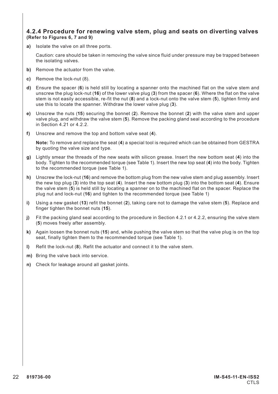#### **4.2.4 Procedure for renewing valve stem, plug and seats on diverting valves (Refer to Figures 6, 7 and 9)**

**a)** Isolate the valve on all three ports.

Caution: care should be taken in removing the valve since fluid under pressure may be trapped between the isolating valves.

- **b)** Remove the actuator from the valve.
- **c)** Remove the lock-nut (8).
- **d)** Ensure the spacer (**6**) is held still by locating a spanner onto the machined flat on the valve stem and unscrew the plug lock-nut (**16**) of the lower valve plug (**3**) from the spacer (**6**). Where the flat on the valve stem is not easily accessible, re-fit the nut (**8**) and a lock-nut onto the valve stem (**5**), tighten firmly and use this to locate the spanner. Withdraw the lower valve plug (**3**).
- **e)** Unscrew the nuts (**15**) securing the bonnet (**2**). Remove the bonnet (**2**) with the valve stem and upper valve plug, and withdraw the valve stem (**5**). Remove the packing gland seal according to the procedure in Section 4.21 or 4.2.2.
- **f)** Unscrew and remove the top and bottom valve seat (**4**).

**Note:** To remove and replace the seat (**4**) a special tool is required which can be obtained from GESTRA by quoting the valve size and type.

- **g)** Lightly smear the threads of the new seats with silicon grease. Insert the new bottom seat (**4**) into the body. Tighten to the recommended torque (see Table 1). Insert the new top seat (**4**) into the body. Tighten to the recommended torque (see Table 1).
- **h)** Unscrew the lock-nut (**16**) and remove the bottom plug from the new valve stem and plug assembly. Insert the new top plug (**3**) into the top seat (**4**). Insert the new bottom plug (**3**) into the bottom seat (**4**). Ensure the valve stem (**5**) is held still by locating a spanner on to the machined flat on the spacer. Replace the plug nut and lock-nut (**16**) and tighten to the recommended torque (see Table 1)
- **i)** Using a new gasket (**13**) refit the bonnet (**2**), taking care not to damage the valve stem (**5**). Replace and finger tighten the bonnet nuts (**15**).
- **j)** Fit the packing gland seal according to the procedure in Section 4.2.1 or 4.2.2, ensuring the valve stem (**5**) moves freely after assembly.
- **k)** Again loosen the bonnet nuts (**15**) and, while pushing the valve stem so that the valve plug is on the top seat, finally tighten them to the recommended torque (see Table 1).
- **l)** Refit the lock-nut (**8**). Refit the actuator and connect it to the valve stem.
- **m)** Bring the valve back into service.
- **n)** Check for leakage around all gasket joints.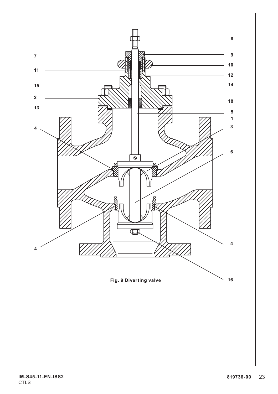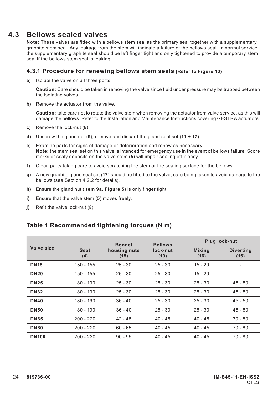#### **4.3 Bellows sealed valves**

**Note:** These valves are fitted with a bellows stem seal as the primary seal together with a supplementary graphite stem seal. Any leakage from the stem will indicate a failure of the bellows seal. In normal service the supplementary graphite seal should be left finger tight and only tightened to provide a temporary stem seal if the bellows stem seal is leaking.

#### **4.3.1 Procedure for renewing bellows stem seals (Refer to Figure 10)**

**a)** Isolate the valve on all three ports.

**Caution:** Care should be taken in removing the valve since fluid under pressure may be trapped between the isolating valves.

**b)** Remove the actuator from the valve.

**Caution:** take care not to rotate the valve stem when removing the actuator from valve service, as this will damage the bellows. Refer to the Installation and Maintenance Instructions covering GESTRA actuators.

- **c)** Remove the lock-nut (**8**).
- **d)** Unscrew the gland nut (**9**), remove and discard the gland seal set (**11 + 17**).
- **e)** Examine parts for signs of damage or deterioration and renew as necessary. **Note:** the stem seal set on this valve is intended for emergency use in the event of bellows failure. Score marks or scaly deposits on the valve stem (**5**) will impair sealing efficiency.
- **f)** Clean parts taking care to avoid scratching the stem or the sealing surface for the bellows.
- **g)** A new graphite gland seal set (**17**) should be fitted to the valve, care being taken to avoid damage to the bellows (see Section 4.2.2 for details).
- **h)** Ensure the gland nut (**item 9a, Figure 5**) is only finger tight.
- **i)** Ensure that the valve stem (**5**) moves freely.
- **j)** Refit the valve lock-nut (**8**).

#### **Table 1 Recommended tightening torques (N m)**

|              |             | <b>Bonnet</b>        | <b>Bellows</b>   | Plug lock-nut         |                          |  |
|--------------|-------------|----------------------|------------------|-----------------------|--------------------------|--|
| Valve size   | Seat<br>(4) | housing nuts<br>(15) | lock-nut<br>(19) | <b>Mixing</b><br>(16) | <b>Diverting</b><br>(16) |  |
| <b>DN15</b>  | $150 - 155$ | $25 - 30$            | $25 - 30$        | $15 - 20$             | ٠                        |  |
| <b>DN20</b>  | 150 - 155   | $25 - 30$            | $25 - 30$        | $15 - 20$             |                          |  |
| <b>DN25</b>  | 180 - 190   | $25 - 30$            | $25 - 30$        | $25 - 30$             | $45 - 50$                |  |
| <b>DN32</b>  | $180 - 190$ | $25 - 30$            | $25 - 30$        | $25 - 30$             | $45 - 50$                |  |
| <b>DN40</b>  | 180 - 190   | $36 - 40$            | $25 - 30$        | $25 - 30$             | $45 - 50$                |  |
| <b>DN50</b>  | 180 - 190   | $36 - 40$            | $25 - 30$        | $25 - 30$             | $45 - 50$                |  |
| <b>DN65</b>  | $200 - 220$ | $42 - 48$            | $40 - 45$        | $40 - 45$             | $70 - 80$                |  |
| <b>DN80</b>  | $200 - 220$ | $60 - 65$            | $40 - 45$        | $40 - 45$             | $70 - 80$                |  |
| <b>DN100</b> | $200 - 220$ | $90 - 95$            | $40 - 45$        | $40 - 45$             | 70 - 80                  |  |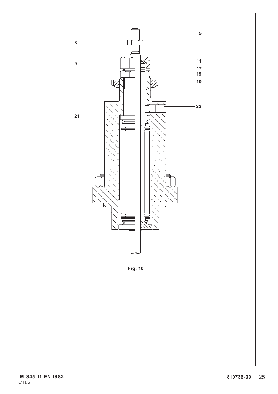

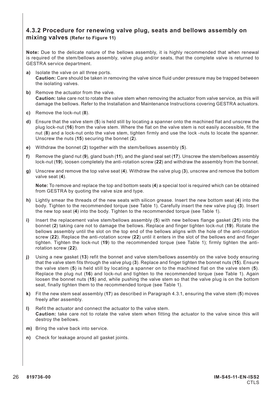#### **4.3.2 Procedure for renewing valve plug, seats and bellows assembly on mixing valves (Refer to Figure 11)**

**Note:** Due to the delicate nature of the bellows assembly, it is highly recommended that when renewal is required of the stem/bellows assembly, valve plug and/or seats, that the complete valve is returned to GESTRA service department.

- **a)** Isolate the valve on all three ports. **Caution:** Care should be taken in removing the valve since fluid under pressure may be trapped between the isolating valves.
- **b)** Remove the actuator from the valve. **Caution:** take care not to rotate the valve stem when removing the actuator from valve service, as this will damage the bellows. Refer to the Installation and Maintenance Instructions covering GESTRA actuators.
- **c)** Remove the lock-nut (**8**).
- **d)** Ensure that the valve stem (**5**) is held still by locating a spanner onto the machined flat and unscrew the plug lock-nut (**16**) from the valve stem. Where the flat on the valve stem is not easily accessible, fit the nut (**8**) and a lock-nut onto the valve stem, tighten firmly and use the lock -nuts to locate the spanner. Unscrew the nuts (**15**) securing the bonnet (**2**).
- **e)** Withdraw the bonnet (**2**) together with the stem/bellows assembly (**5**).
- **f)** Remove the gland nut (**9**), gland bush (**11**), and the gland seal set (**17**). Unscrew the stem/bellows assembly lock-nut (**19**), loosen completely the anti-rotation screw (**22**) and withdraw the assembly from the bonnet.
- **g)** Unscrew and remove the top valve seat (**4**). Withdraw the valve plug (**3**), unscrew and remove the bottom valve seat (**4**).

**Note:** To remove and replace the top and bottom seats (**4**) a special tool is required which can be obtained from GESTRA by quoting the valve size and type.

- **h)** Lightly smear the threads of the new seats with silicon grease. Insert the new bottom seat (**4**) into the body. Tighten to the recommended torque (see Table 1). Carefully insert the new valve plug (**3**). Insert the new top seat (**4**) into the body. Tighten to the recommended torque (see Table 1).
- **i)** Insert the replacement valve stem/bellows assembly (**5**) with new bellows flange gasket (**21**) into the bonnet (**2**) taking care not to damage the bellows. Replace and finger tighten lock-nut (**19**). Rotate the bellows assembly until the slot on the top end of the bellows aligns with the hole of the anti-rotation screw (**22**). Replace the anti-rotation screw (**22**) until it enters in the slot of the bellows end and finger tighten. Tighten the lock-nut (**19**) to the recommended torque (see Table 1); firmly tighten the antirotation screw (**22**).
- **j)** Using a new gasket (**13**) refit the bonnet and valve stem/bellows assembly on the valve body ensuring that the valve stem fits through the valve plug (**3**). Replace and finger tighten the bonnet nuts (**15**). Ensure the valve stem (**5**) is held still by locating a spanner on to the machined flat on the valve stem (**5**). Replace the plug nut (**16**) and lock-nut and tighten to the recommended torque (see Table 1). Again loosen the bonnet nuts (**15**) and, while pushing the valve stem so that the valve plug is on the bottom seat, finally tighten them to the recommended torque (see Table 1).
- **k)** Fit the new stem seal assembly (**17**) as described in Paragraph 4.3.1, ensuring the valve stem (**5**) moves freely after assembly.
- **l)** Refit the actuator and connect the actuator to the valve stem. **Caution:** take care not to rotate the valve stem when fitting the actuator to the valve since this will destroy the bellows.
- **m)** Bring the valve back into service.
- **n)** Check for leakage around all gasket joints.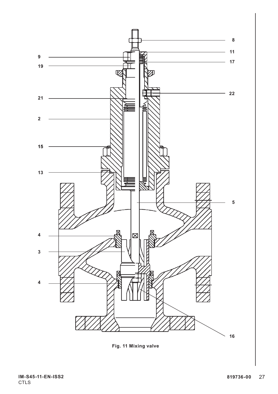

**Fig. 11 Mixing valve**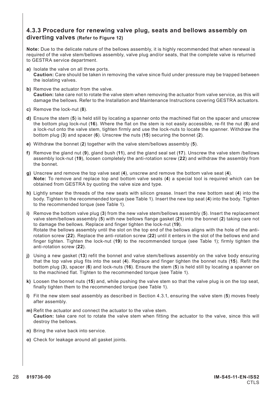#### **4.3.3 Procedure for renewing valve plug, seats and bellows assembly on diverting valves (Refer to Figure 12)**

**Note:** Due to the delicate nature of the bellows assembly, it is highly recommended that when renewal is required of the valve stem/bellows assembly, valve plug and/or seats, that the complete valve is returned to GESTRA service department.

- **a)** Isolate the valve on all three ports. **Caution:** Care should be taken in removing the valve since fluid under pressure may be trapped between the isolating valves.
- **b)** Remove the actuator from the valve. **Caution:** take care not to rotate the valve stem when removing the actuator from valve service, as this will damage the bellows. Refer to the Installation and Maintenance Instructions covering GESTRA actuators.
- **c)** Remove the lock-nut (**8**).
- **d)** Ensure the stem (**5**) is held still by locating a spanner onto the machined flat on the spacer and unscrew the bottom plug lock-nut (**16**). Where the flat on the stem is not easily accessible, re-fit the nut (**8**) and a lock-nut onto the valve stem, tighten firmly and use the lock-nuts to locate the spanner. Withdraw the bottom plug (**3**) and spacer (**6**). Unscrew the nuts (**15**) securing the bonnet (**2**).
- **e)** Withdraw the bonnet (**2**) together with the valve stem/bellows assembly (**5**).
- **f)** Remove the gland nut (**9**), gland bush (**11**), and the gland seal set (**17**). Unscrew the valve stem /bellows assembly lock-nut (**19**), loosen completely the anti-rotation screw (**22**) and withdraw the assembly from the bonnet.
- **g)** Unscrew and remove the top valve seat (**4**), unscrew and remove the bottom valve seat (**4**). **Note:** To remove and replace top and bottom valve seats (**4**) a special tool is required which can be obtained from GESTRA by quoting the valve size and type.
- **h)** Lightly smear the threads of the new seats with silicon grease. Insert the new bottom seat (**4**) into the body. Tighten to the recommended torque (see Table 1). Insert the new top seat (**4**) into the body. Tighten to the recommended torque (see Table 1).
- **i)** Remove the bottom valve plug (**3**) from the new valve stem/bellows assembly (**5**). Insert the replacement valve stem/bellows assembly (**5**) with new bellows flange gasket (**21**) into the bonnet (**2**) taking care not to damage the bellows. Replace and finger tighten the lock-nut (**19**). Rotate the bellows assembly until the slot on the top end of the bellows aligns with the hole of the antirotation screw (**22**). Replace the anti-rotation screw (**22**) until it enters in the slot of the bellows end and finger tighten. Tighten the lock-nut (**19**) to the recommended torque (see Table 1); firmly tighten the anti-rotation screw (**22**).
- **j)** Using a new gasket (**13**) refit the bonnet and valve stem/bellows assembly on the valve body ensuring that the top valve plug fits into the seat (**4**). Replace and finger tighten the bonnet nuts (**15**). Refit the bottom plug (**3**), spacer (**6**) and lock-nuts (**16**). Ensure the stem (**5**) is held still by locating a spanner on to the machined flat. Tighten to the recommended torque (see Table 1).
- **k)** Loosen the bonnet nuts (**15**) and, while pushing the valve stem so that the valve plug is on the top seat, finally tighten them to the recommended torque (see Table 1).
- **l)** Fit the new stem seal assembly as described in Section 4.3.1, ensuring the valve stem (**5**) moves freely after assembly.
- **m)** Refit the actuator and connect the actuator to the valve stem. **Caution:** take care not to rotate the valve stem when fitting the actuator to the valve, since this will destroy the bellows.
- **n)** Bring the valve back into service.
- **o)** Check for leakage around all gasket joints.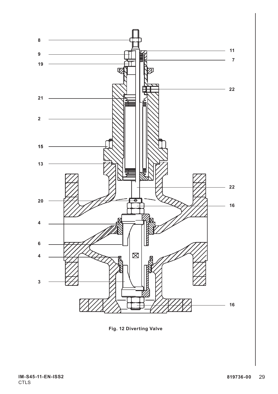

**Fig. 12 Diverting Valve**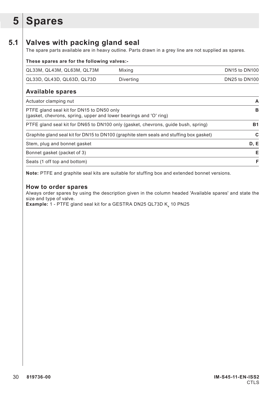# **5 Spares**

## **5.1 Valves with packing gland seal**

The spare parts available are in heavy outline. Parts drawn in a grey line are not supplied as spares.

| These spares are for the following valves:-                                                                    |               |  |  |  |  |  |
|----------------------------------------------------------------------------------------------------------------|---------------|--|--|--|--|--|
| Mixing                                                                                                         | DN15 to DN100 |  |  |  |  |  |
| Diverting                                                                                                      | DN25 to DN100 |  |  |  |  |  |
|                                                                                                                |               |  |  |  |  |  |
|                                                                                                                | А             |  |  |  |  |  |
| PTFE gland seal kit for DN15 to DN50 only<br>(gasket, chevrons, spring, upper and lower bearings and 'O' ring) | в             |  |  |  |  |  |
| PTFE gland seal kit for DN65 to DN100 only (gasket, chevrons, guide bush, spring)                              | <b>B1</b>     |  |  |  |  |  |
| Graphite gland seal kit for DN15 to DN100 (graphite stem seals and stuffing box gasket)                        | С             |  |  |  |  |  |
|                                                                                                                | D, E          |  |  |  |  |  |
|                                                                                                                | Е             |  |  |  |  |  |
|                                                                                                                | F             |  |  |  |  |  |
|                                                                                                                |               |  |  |  |  |  |

**Note:** PTFE and graphite seal kits are suitable for stuffing box and extended bonnet versions.

#### **How to order spares**

Always order spares by using the description given in the column headed 'Available spares' and state the size and type of valve.

**Example:** 1 - PTFE gland seal kit for a GESTRA DN25 QL73D K<sub>v</sub> 10 PN25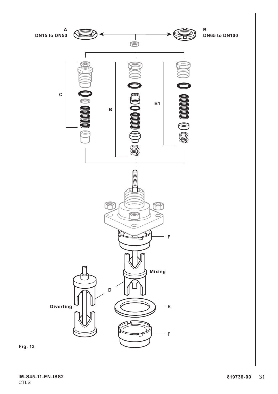

**Fig. 13**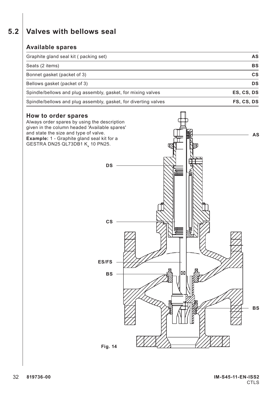# **5.2 Valves with bellows seal**

#### **Available spares**

| Graphite gland seal kit (packing set)                           | <b>AS</b>  |
|-----------------------------------------------------------------|------------|
| Seats (2 items)                                                 | <b>BS</b>  |
| Bonnet gasket (packet of 3)                                     | СS         |
| Bellows gasket (packet of 3)                                    | DS         |
| Spindle/bellows and plug assembly, gasket, for mixing valves    | ES. CS. DS |
| Spindle/bellows and plug assembly, gasket, for diverting valves | FS, CS, DS |

#### **How to order spares**

Always order spares by using the description given in the column headed 'Available spares' and state the size and type of valve. **Example:** 1 - Graphite gland seal kit for a GESTRA DN25 QL73DB1 K<sub>v</sub> 10 PN25. **AS BS DS CS ES/FS BS Fig. 14**